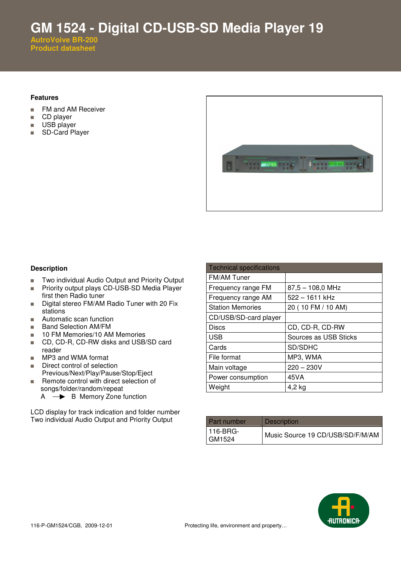**GM 1524 - Digital CD-USB-SD Media Player 19** 

**AutroVoive BR-200 Product datasheet**

## **Features**

- **FM and AM Receiver**
- CD player
- **USB** player
- SD-Card Player



## **Description**

- Two individual Audio Output and Priority Output
- **Priority output plays CD-USB-SD Media Player** first then Radio tuner
- Digital stereo FM/AM Radio Tuner with 20 Fix stations
- **Automatic scan function**
- **Band Selection AM/FM**
- 10 FM Memories/10 AM Memories
- CD, CD-R, CD-RW disks and USB/SD card reader
- **MP3 and WMA format**
- Direct control of selection Previous/Next/Play/Pause/Stop/Eject
- Remote control with direct selection of songs/folder/random/repeat  $A \rightarrow B$  Memory Zone function

LCD display for track indication and folder number Two individual Audio Output and Priority Output

| <b>Technical specifications</b> |                       |
|---------------------------------|-----------------------|
| <b>FM/AM Tuner</b>              |                       |
| Frequency range FM              | $87,5 - 108,0$ MHz    |
| Frequency range AM              | 522 - 1611 kHz        |
| <b>Station Memories</b>         | 20 (10 FM / 10 AM)    |
| CD/USB/SD-card player           |                       |
| Discs                           | CD, CD-R, CD-RW       |
| <b>USB</b>                      | Sources as USB Sticks |
| Cards                           | SD/SDHC               |
| File format                     | MP3, WMA              |
| Main voltage                    | $220 - 230V$          |
| Power consumption               | 45VA                  |
| Weight                          | 4,2 kg                |

| <b>Part number</b>     | <b>Description</b>               |
|------------------------|----------------------------------|
| l 116-BRG-<br>l GM1524 | Music Source 19 CD/USB/SD/F/M/AM |